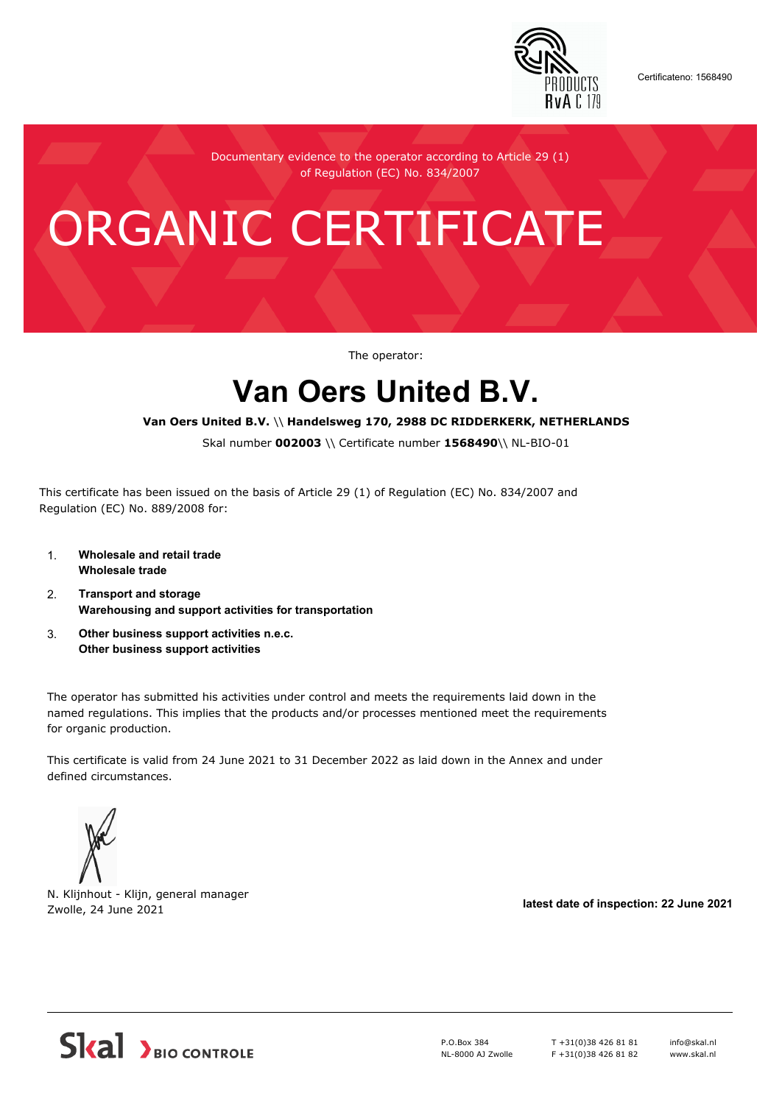

Certificateno: 1568490

Documentary evidence to the operator according to Article 29 (1) of Regulation (EC) No. 834/2007

# ORGANIC CERTIFICATE

The operator:

## **Van Oers United B.V.**

#### **Van Oers United B.V.** \\ **Handelsweg 170, 2988 DC RIDDERKERK, NETHERLANDS**

Skal number **002003** \\ Certificate number **1568490**\\ NL-BIO-01

This certificate has been issued on the basis of Article 29 (1) of Regulation (EC) No. 834/2007 and Regulation (EC) No. 889/2008 for:

- 1. **Wholesale and retail trade Wholesale trade**
- 2. **Transport and storage Warehousing and support activities for transportation**
- 3. **Other business support activities n.e.c. Other business support activities**

The operator has submitted his activities under control and meets the requirements laid down in the named regulations. This implies that the products and/or processes mentioned meet the requirements for organic production.

This certificate is valid from 24 June 2021 to 31 December 2022 as laid down in the Annex and under defined circumstances.



N. Klijnhout - Klijn, general manager Zwolle, 24 June 2021 **latest date of inspection: 22 June 2021**



P.O.Box 384 NL-8000 AJ Zwolle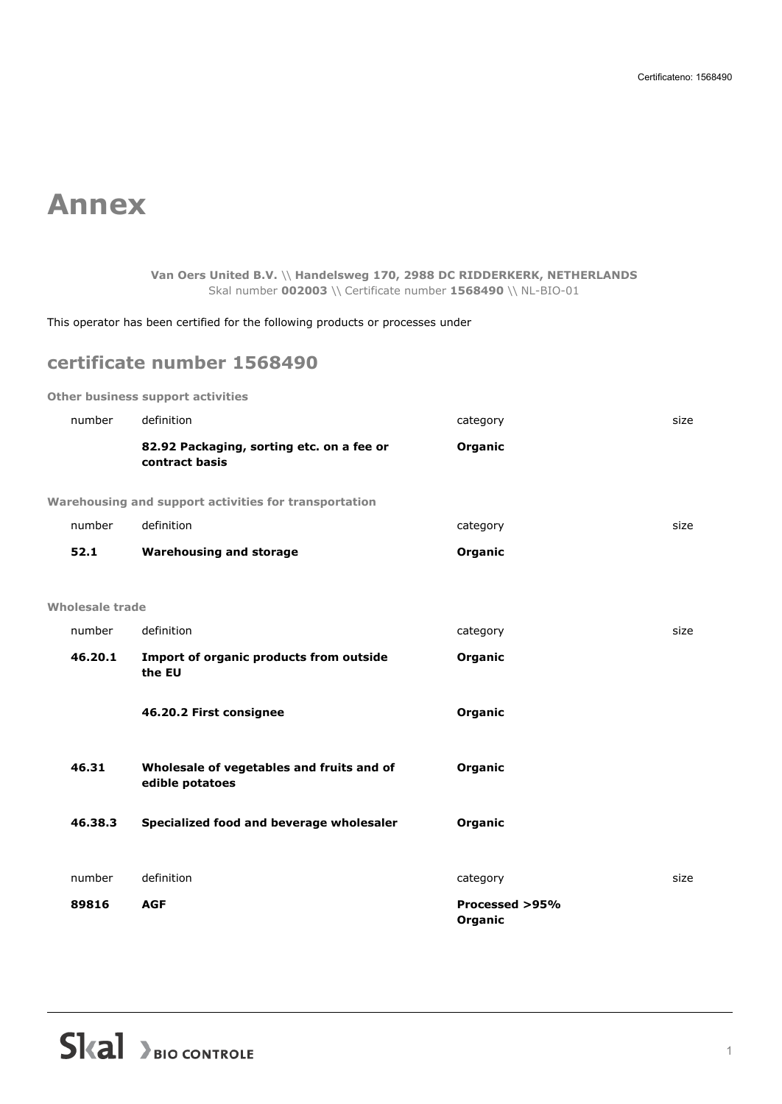### **Annex**

### **Van Oers United B.V.** \\ **Handelsweg 170, 2988 DC RIDDERKERK, NETHERLANDS** Skal number **002003** \\ Certificate number **1568490** \\ NL-BIO-01

This operator has been certified for the following products or processes under

### **certificate number 1568490**

**Other business support activities**

| number          | definition                                                   | category                  | size |
|-----------------|--------------------------------------------------------------|---------------------------|------|
|                 | 82.92 Packaging, sorting etc. on a fee or<br>contract basis  | Organic                   |      |
|                 | Warehousing and support activities for transportation        |                           |      |
| number          | definition                                                   | category                  | size |
| 52.1            | <b>Warehousing and storage</b>                               | Organic                   |      |
| Wholesale trade |                                                              |                           |      |
| number          | definition                                                   | category                  | size |
| 46.20.1         | Import of organic products from outside<br>the EU            | Organic                   |      |
|                 | 46.20.2 First consignee                                      | Organic                   |      |
| 46.31           | Wholesale of vegetables and fruits and of<br>edible potatoes | Organic                   |      |
| 46.38.3         | Specialized food and beverage wholesaler                     | Organic                   |      |
| number          | definition                                                   | category                  | size |
| 89816           | <b>AGF</b>                                                   | Processed >95%<br>Organic |      |